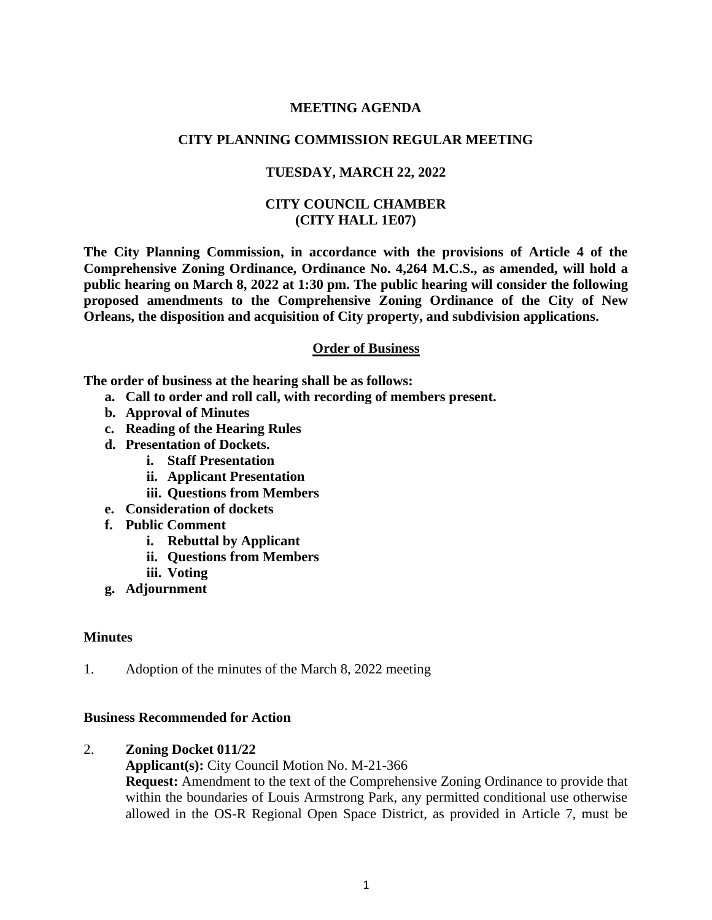### **MEETING AGENDA**

# **CITY PLANNING COMMISSION REGULAR MEETING**

### **TUESDAY, MARCH 22, 2022**

### **CITY COUNCIL CHAMBER (CITY HALL 1E07)**

**The City Planning Commission, in accordance with the provisions of Article 4 of the Comprehensive Zoning Ordinance, Ordinance No. 4,264 M.C.S., as amended, will hold a public hearing on March 8, 2022 at 1:30 pm. The public hearing will consider the following proposed amendments to the Comprehensive Zoning Ordinance of the City of New Orleans, the disposition and acquisition of City property, and subdivision applications.**

#### **Order of Business**

**The order of business at the hearing shall be as follows:**

- **a. Call to order and roll call, with recording of members present.**
- **b. Approval of Minutes**
- **c. Reading of the Hearing Rules**
- **d. Presentation of Dockets.** 
	- **i. Staff Presentation**
	- **ii. Applicant Presentation**
	- **iii. Questions from Members**
- **e. Consideration of dockets**
- **f. Public Comment**
	- **i. Rebuttal by Applicant**
	- **ii. Questions from Members**
	- **iii. Voting**
- **g. Adjournment**

#### **Minutes**

1. Adoption of the minutes of the March 8, 2022 meeting

#### **Business Recommended for Action**

#### 2. **Zoning Docket 011/22**

#### **Applicant(s):** City Council Motion No. M-21-366

**Request:** Amendment to the text of the Comprehensive Zoning Ordinance to provide that within the boundaries of Louis Armstrong Park, any permitted conditional use otherwise allowed in the OS-R Regional Open Space District, as provided in Article 7, must be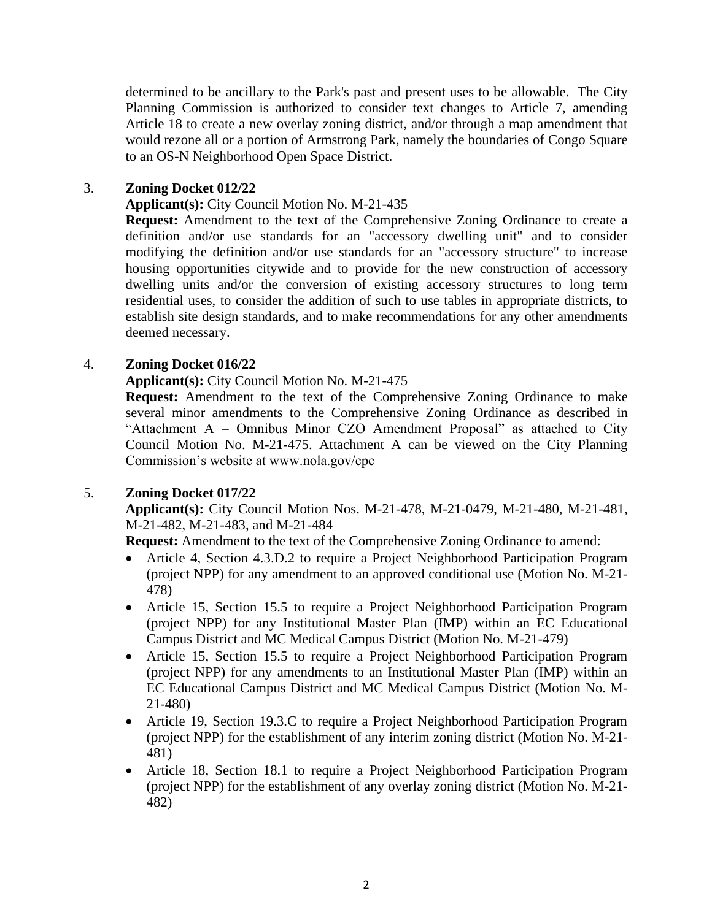determined to be ancillary to the Park's past and present uses to be allowable. The City Planning Commission is authorized to consider text changes to Article 7, amending Article 18 to create a new overlay zoning district, and/or through a map amendment that would rezone all or a portion of Armstrong Park, namely the boundaries of Congo Square to an OS-N Neighborhood Open Space District.

## 3. **Zoning Docket 012/22**

### **Applicant(s):** City Council Motion No. M-21-435

**Request:** Amendment to the text of the Comprehensive Zoning Ordinance to create a definition and/or use standards for an "accessory dwelling unit" and to consider modifying the definition and/or use standards for an "accessory structure" to increase housing opportunities citywide and to provide for the new construction of accessory dwelling units and/or the conversion of existing accessory structures to long term residential uses, to consider the addition of such to use tables in appropriate districts, to establish site design standards, and to make recommendations for any other amendments deemed necessary.

### 4. **Zoning Docket 016/22**

#### **Applicant(s):** City Council Motion No. M-21-475

**Request:** Amendment to the text of the Comprehensive Zoning Ordinance to make several minor amendments to the Comprehensive Zoning Ordinance as described in "Attachment A – Omnibus Minor CZO Amendment Proposal" as attached to City Council Motion No. M-21-475. Attachment A can be viewed on the City Planning Commission's website at www.nola.gov/cpc

#### 5. **Zoning Docket 017/22**

**Applicant(s):** City Council Motion Nos. M-21-478, M-21-0479, M-21-480, M-21-481, M-21-482, M-21-483, and M-21-484

**Request:** Amendment to the text of the Comprehensive Zoning Ordinance to amend:

- Article 4, Section 4.3.D.2 to require a Project Neighborhood Participation Program (project NPP) for any amendment to an approved conditional use (Motion No. M-21- 478)
- Article 15, Section 15.5 to require a Project Neighborhood Participation Program (project NPP) for any Institutional Master Plan (IMP) within an EC Educational Campus District and MC Medical Campus District (Motion No. M-21-479)
- Article 15, Section 15.5 to require a Project Neighborhood Participation Program (project NPP) for any amendments to an Institutional Master Plan (IMP) within an EC Educational Campus District and MC Medical Campus District (Motion No. M-21-480)
- Article 19, Section 19.3.C to require a Project Neighborhood Participation Program (project NPP) for the establishment of any interim zoning district (Motion No. M-21- 481)
- Article 18, Section 18.1 to require a Project Neighborhood Participation Program (project NPP) for the establishment of any overlay zoning district (Motion No. M-21- 482)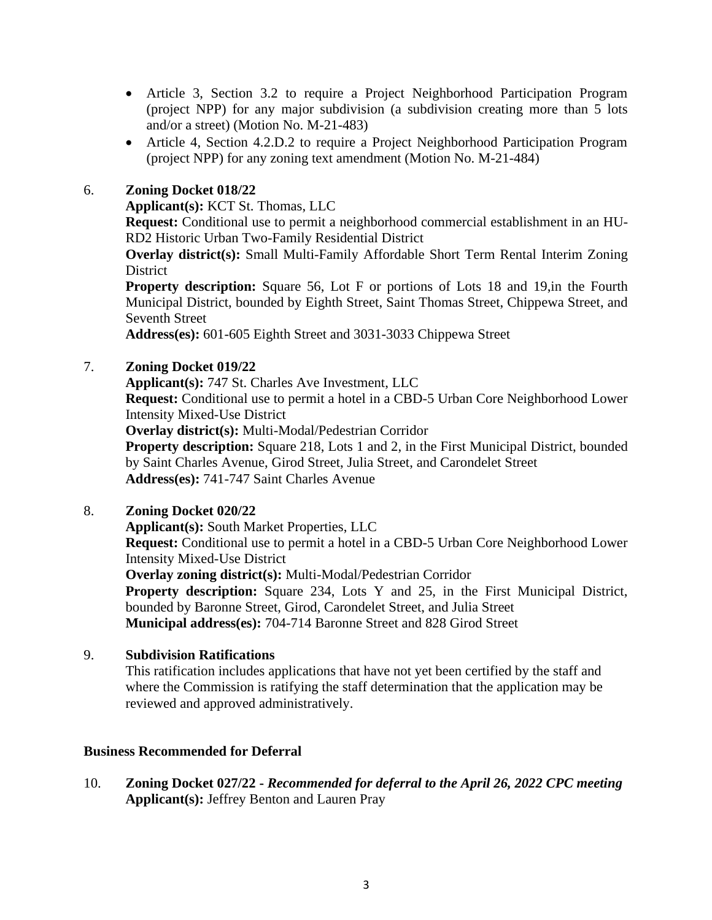- Article 3, Section 3.2 to require a Project Neighborhood Participation Program (project NPP) for any major subdivision (a subdivision creating more than 5 lots and/or a street) (Motion No. M-21-483)
- Article 4, Section 4.2.D.2 to require a Project Neighborhood Participation Program (project NPP) for any zoning text amendment (Motion No. M-21-484)

# 6. **Zoning Docket 018/22**

**Applicant(s):** KCT St. Thomas, LLC

**Request:** Conditional use to permit a neighborhood commercial establishment in an HU-RD2 Historic Urban Two-Family Residential District

**Overlay district(s):** Small Multi-Family Affordable Short Term Rental Interim Zoning **District** 

**Property description:** Square 56, Lot F or portions of Lots 18 and 19,in the Fourth Municipal District, bounded by Eighth Street, Saint Thomas Street, Chippewa Street, and Seventh Street

**Address(es):** 601-605 Eighth Street and 3031-3033 Chippewa Street

### 7. **Zoning Docket 019/22**

**Applicant(s):** 747 St. Charles Ave Investment, LLC

**Request:** Conditional use to permit a hotel in a CBD-5 Urban Core Neighborhood Lower Intensity Mixed-Use District

**Overlay district(s):** Multi-Modal/Pedestrian Corridor

**Property description:** Square 218, Lots 1 and 2, in the First Municipal District, bounded by Saint Charles Avenue, Girod Street, Julia Street, and Carondelet Street **Address(es):** 741-747 Saint Charles Avenue

# 8. **Zoning Docket 020/22**

**Applicant(s):** South Market Properties, LLC

**Request:** Conditional use to permit a hotel in a CBD-5 Urban Core Neighborhood Lower Intensity Mixed-Use District

**Overlay zoning district(s):** Multi-Modal/Pedestrian Corridor

**Property description:** Square 234, Lots Y and 25, in the First Municipal District, bounded by Baronne Street, Girod, Carondelet Street, and Julia Street **Municipal address(es):** 704-714 Baronne Street and 828 Girod Street

# 9. **Subdivision Ratifications**

This ratification includes applications that have not yet been certified by the staff and where the Commission is ratifying the staff determination that the application may be reviewed and approved administratively.

#### **Business Recommended for Deferral**

10. **Zoning Docket 027/22 -** *Recommended for deferral to the April 26, 2022 CPC meeting* **Applicant(s):** Jeffrey Benton and Lauren Pray